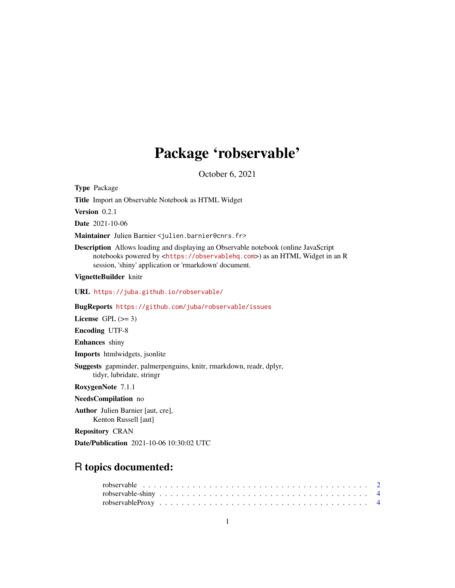# Package 'robservable'

October 6, 2021

Type Package

Title Import an Observable Notebook as HTML Widget

Version 0.2.1

Date 2021-10-06

Maintainer Julien Barnier <julien.barnier@cnrs.fr>

Description Allows loading and displaying an Observable notebook (online JavaScript notebooks powered by <<https://observablehq.com>>) as an HTML Widget in an R session, 'shiny' application or 'rmarkdown' document.

VignetteBuilder knitr

URL <https://juba.github.io/robservable/>

BugReports <https://github.com/juba/robservable/issues>

License GPL  $(>= 3)$ 

Encoding UTF-8

Enhances shiny

Imports htmlwidgets, jsonlite

Suggests gapminder, palmerpenguins, knitr, rmarkdown, readr, dplyr, tidyr, lubridate, stringr

RoxygenNote 7.1.1

NeedsCompilation no

Author Julien Barnier [aut, cre], Kenton Russell [aut]

Repository CRAN

Date/Publication 2021-10-06 10:30:02 UTC

## R topics documented: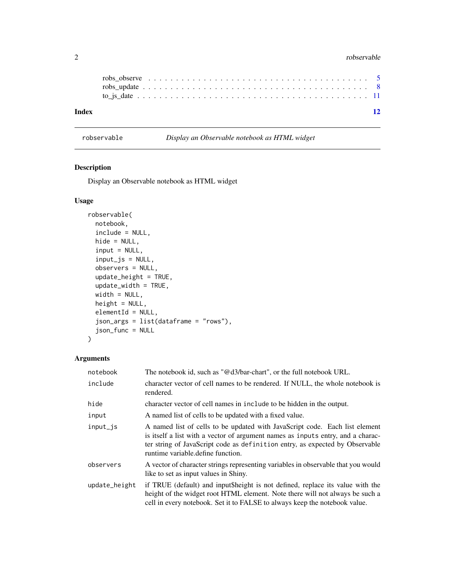#### 2 robservable control of the control of the control of the control of the control of the control of the control of the control of the control of the control of the control of the control of the control of the control of th

|                                                                                                                | 12 |
|----------------------------------------------------------------------------------------------------------------|----|
|                                                                                                                |    |
|                                                                                                                |    |
| robs observe $\dots \dots \dots \dots \dots \dots \dots \dots \dots \dots \dots \dots \dots \dots \dots \dots$ |    |
|                                                                                                                |    |

<span id="page-1-1"></span>robservable *Display an Observable notebook as HTML widget*

### Description

Display an Observable notebook as HTML widget

#### Usage

```
robservable(
 notebook,
 include = NULL,
 hide = NULL,
 input = NULL,input_js = NULL,observers = NULL,
 update_height = TRUE,
 update_width = TRUE,
 width = NULL,
 height = NULL,elementId = NULL,
 json_args = list(dataframe = "rows"),
 json_func = NULL
)
```
#### Arguments

| notebook      | The notebook id, such as " $@d3/bar$ -chart", or the full notebook URL.                                                                                                                                                                                                             |  |  |  |  |  |  |
|---------------|-------------------------------------------------------------------------------------------------------------------------------------------------------------------------------------------------------------------------------------------------------------------------------------|--|--|--|--|--|--|
| include       | character vector of cell names to be rendered. If NULL, the whole notebook is<br>rendered.                                                                                                                                                                                          |  |  |  |  |  |  |
| hide          | character vector of cell names in include to be hidden in the output.                                                                                                                                                                                                               |  |  |  |  |  |  |
| input         | A named list of cells to be updated with a fixed value.                                                                                                                                                                                                                             |  |  |  |  |  |  |
| input_js      | A named list of cells to be updated with JavaScript code. Each list element<br>is itself a list with a vector of argument names as inputs entry, and a charac-<br>ter string of JavaScript code as definition entry, as expected by Observable<br>runtime variable define function. |  |  |  |  |  |  |
| observers     | A vector of character strings representing variables in observable that you would<br>like to set as input values in Shiny.                                                                                                                                                          |  |  |  |  |  |  |
| update_height | if TRUE (default) and input sheight is not defined, replace its value with the<br>height of the widget root HTML element. Note there will not always be such a<br>cell in every notebook. Set it to FALSE to always keep the notebook value.                                        |  |  |  |  |  |  |

<span id="page-1-0"></span>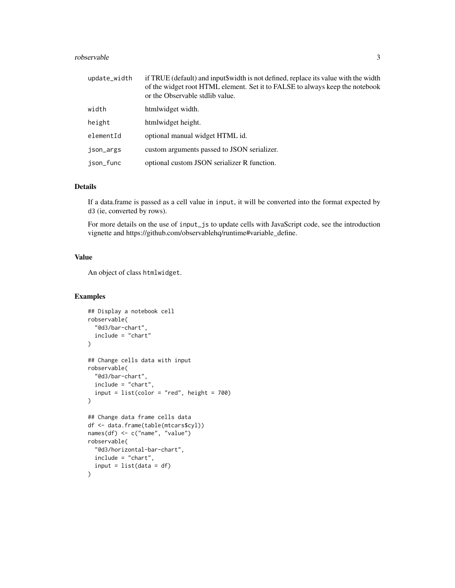#### robservable 3

| update_width | if TRUE (default) and input\$width is not defined, replace its value with the width<br>of the widget root HTML element. Set it to FALSE to always keep the notebook<br>or the Observable stdlib value. |
|--------------|--------------------------------------------------------------------------------------------------------------------------------------------------------------------------------------------------------|
| width        | htmlwidget width.                                                                                                                                                                                      |
| height       | htmlwidget height.                                                                                                                                                                                     |
| elementId    | optional manual widget HTML id.                                                                                                                                                                        |
| json_args    | custom arguments passed to JSON serializer.                                                                                                                                                            |
| ison_func    | optional custom JSON serializer R function.                                                                                                                                                            |

#### Details

If a data.frame is passed as a cell value in input, it will be converted into the format expected by d3 (ie, converted by rows).

For more details on the use of input\_js to update cells with JavaScript code, see the introduction vignette and https://github.com/observablehq/runtime#variable\_define.

#### Value

An object of class htmlwidget.

#### Examples

```
## Display a notebook cell
robservable(
  "@d3/bar-chart",
  include = "chart"
\lambda## Change cells data with input
robservable(
  "@d3/bar-chart",
  include = "chart",
  input = list(color = "red", height = 700))
## Change data frame cells data
df <- data.frame(table(mtcars$cyl))
names(df) <- c("name", "value")
robservable(
  "@d3/horizontal-bar-chart",
  include = "chart",
  input = list(data = df)\mathcal{L}
```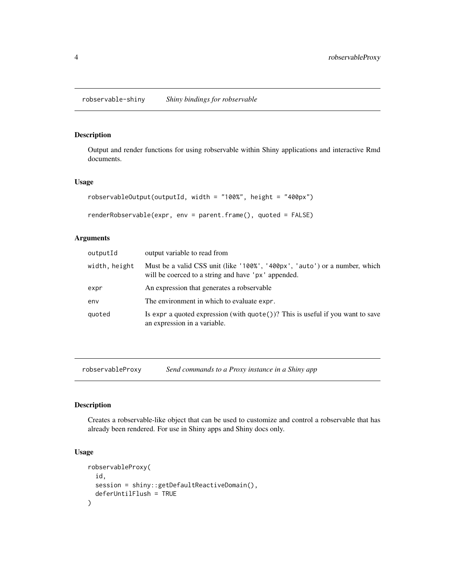#### <span id="page-3-0"></span>Description

Output and render functions for using robservable within Shiny applications and interactive Rmd documents.

#### Usage

```
robservableOutput(outputId, width = "100%", height = "400px")
renderRobservable(expr, env = parent.frame(), quoted = FALSE)
```
#### Arguments

| output variable to read from                                                                                                      |
|-----------------------------------------------------------------------------------------------------------------------------------|
| Must be a valid CSS unit (like '100%', '400px', 'auto') or a number, which<br>will be coerced to a string and have 'px' appended. |
| An expression that generates a robservable                                                                                        |
| The environment in which to evaluate expr.                                                                                        |
| Is expr a quoted expression (with $\text{quote}()$ )? This is useful if you want to save<br>an expression in a variable.          |
|                                                                                                                                   |

robservableProxy *Send commands to a Proxy instance in a Shiny app*

#### Description

Creates a robservable-like object that can be used to customize and control a robservable that has already been rendered. For use in Shiny apps and Shiny docs only.

#### Usage

```
robservableProxy(
  id,
  session = shiny::getDefaultReactiveDomain(),
  deferUntilFlush = TRUE
\mathcal{E}
```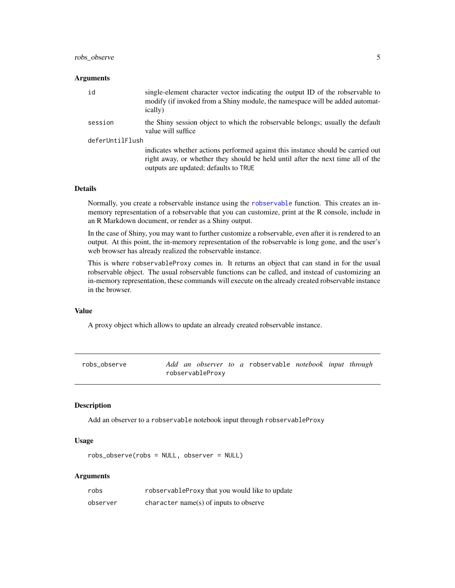#### <span id="page-4-0"></span>robs\_observe 5

#### **Arguments**

| id              | single-element character vector indicating the output ID of the robservable to<br>modify (if invoked from a Shiny module, the namespace will be added automat-<br>ically)                                   |
|-----------------|-------------------------------------------------------------------------------------------------------------------------------------------------------------------------------------------------------------|
| session         | the Shiny session object to which the robservable belongs; usually the default<br>value will suffice                                                                                                        |
| deferUntilFlush |                                                                                                                                                                                                             |
|                 | indicates whether actions performed against this instance should be carried out<br>right away, or whether they should be held until after the next time all of the<br>outputs are updated; defaults to TRUE |

#### Details

Normally, you create a robservable instance using the [robservable](#page-1-1) function. This creates an inmemory representation of a robservable that you can customize, print at the R console, include in an R Markdown document, or render as a Shiny output.

In the case of Shiny, you may want to further customize a robservable, even after it is rendered to an output. At this point, the in-memory representation of the robservable is long gone, and the user's web browser has already realized the robservable instance.

This is where robservableProxy comes in. It returns an object that can stand in for the usual robservable object. The usual robservable functions can be called, and instead of customizing an in-memory representation, these commands will execute on the already created robservable instance in the browser.

#### Value

A proxy object which allows to update an already created robservable instance.

robs\_observe *Add an observer to a* robservable *notebook input through* robservableProxy

#### Description

Add an observer to a robservable notebook input through robservableProxy

#### Usage

robs\_observe(robs = NULL, observer = NULL)

#### Arguments

| robs     | robservableProxy that you would like to update |
|----------|------------------------------------------------|
| observer | character name(s) of inputs to observe         |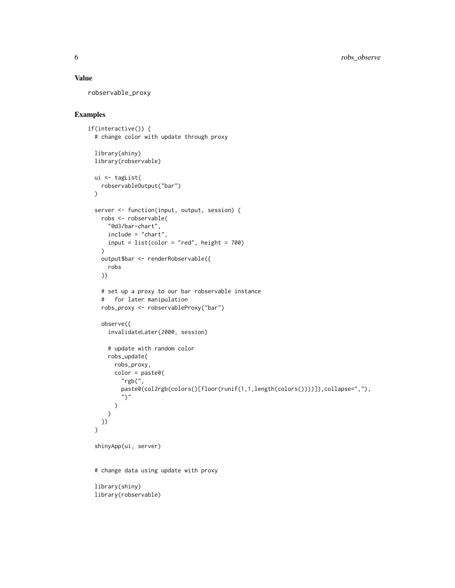#### Value

robservable\_proxy

#### Examples

```
if(interactive()) {
 # change color with update through proxy
 library(shiny)
 library(robservable)
 ui <- tagList(
   robservableOutput("bar")
 )
 server <- function(input, output, session) {
   robs <- robservable(
     "@d3/bar-chart",
     include = "chart",
     input = list(color = "red", height = 700)
   )
   output$bar <- renderRobservable({
     robs
   })
   # set up a proxy to our bar robservable instance
   # for later manipulation
   robs_proxy <- robservableProxy("bar")
   observe({
     invalidateLater(2000, session)
     # update with random color
     robs_update(
       robs_proxy,
       color = paste0("rgb(",
         paste0(col2rgb(colors()[floor(runif(1,1,length(colors())))]),collapse=","),
          ")"
       )
     \lambda})
 }
 shinyApp(ui, server)
 # change data using update with proxy
 library(shiny)
 library(robservable)
```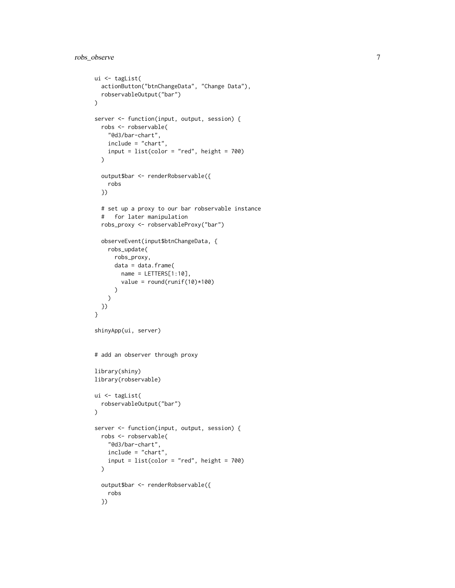```
ui <- tagList(
  actionButton("btnChangeData", "Change Data"),
  robservableOutput("bar")
\lambdaserver <- function(input, output, session) {
 robs <- robservable(
   "@d3/bar-chart",
   include = "chart",
   input = list(color = "red", height = 700))
  output$bar <- renderRobservable({
    robs
 })
 # set up a proxy to our bar robservable instance
  # for later manipulation
 robs_proxy <- robservableProxy("bar")
  observeEvent(input$btnChangeData, {
    robs_update(
     robs_proxy,
     data = data.frame(
       name = LETTERS[1:10],
       value = round(runif(10)*100))
    )
 })
}
shinyApp(ui, server)
# add an observer through proxy
library(shiny)
library(robservable)
ui <- tagList(
 robservableOutput("bar")
)
server <- function(input, output, session) {
 robs <- robservable(
   "@d3/bar-chart",
   include = "chart",
   input = list(color = "red", height = 700))
  output$bar <- renderRobservable({
    robs
  })
```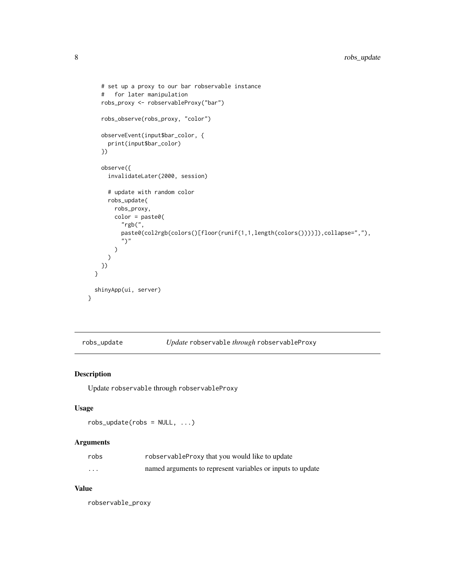```
# set up a proxy to our bar robservable instance
    # for later manipulation
   robs_proxy <- robservableProxy("bar")
    robs_observe(robs_proxy, "color")
   observeEvent(input$bar_color, {
      print(input$bar_color)
   })
   observe({
      invalidateLater(2000, session)
      # update with random color
      robs_update(
       robs_proxy,
       color = paste0(
          "rgb(",
         paste0(col2rgb(colors()[floor(runif(1,1,length(colors())))]),collapse=","),
          ")"
       \lambda)
   })
 }
 shinyApp(ui, server)
}
```
robs\_update *Update* robservable *through* robservableProxy

#### Description

Update robservable through robservableProxy

#### Usage

 $robs\_update(robs = NULL, ...)$ 

#### Arguments

| robs     | robservable Proxy that you would like to update            |
|----------|------------------------------------------------------------|
| $\cdots$ | named arguments to represent variables or inputs to update |

#### Value

robservable\_proxy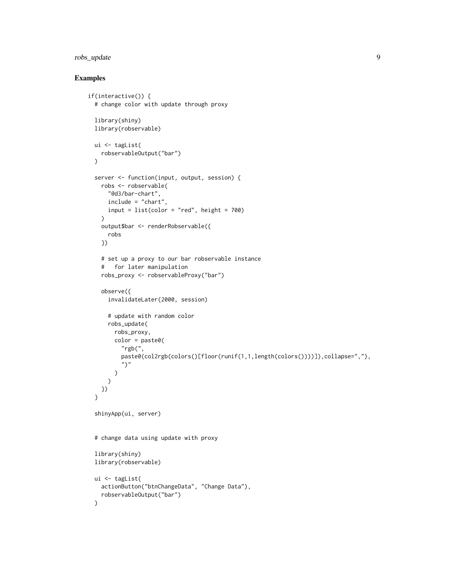#### robs\_update 9

#### Examples

```
if(interactive()) {
 # change color with update through proxy
 library(shiny)
 library(robservable)
 ui <- tagList(
   robservableOutput("bar")
 \lambdaserver <- function(input, output, session) {
   robs <- robservable(
     "@d3/bar-chart",
     include = "chart",
     input = list(color = "red", height = 700)\lambdaoutput$bar <- renderRobservable({
     robs
   })
   # set up a proxy to our bar robservable instance
    # for later manipulation
   robs_proxy <- robservableProxy("bar")
   observe({
     invalidateLater(2000, session)
     # update with random color
     robs_update(
       robs_proxy,
       color = paste0("rgb("paste0(col2rgb(colors()[floor(runif(1,1,length(colors())))]),collapse=","),
          ")"
       )
     )
   })
 }
 shinyApp(ui, server)
 # change data using update with proxy
 library(shiny)
 library(robservable)
 ui <- tagList(
   actionButton("btnChangeData", "Change Data"),
   robservableOutput("bar")
 )
```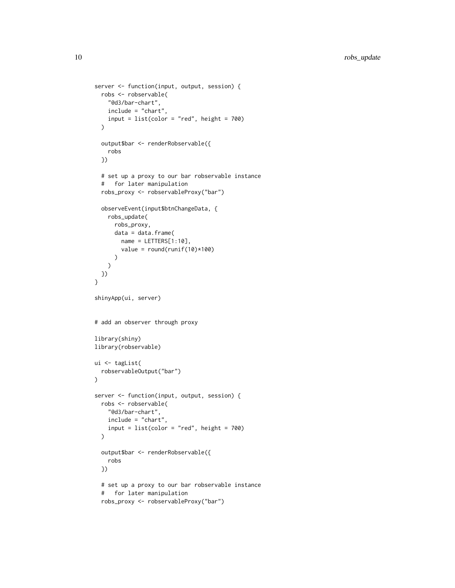```
server <- function(input, output, session) {
 robs <- robservable(
    "@d3/bar-chart",
   include = "chart",
   input = list(color = "red", height = 700))
  output$bar <- renderRobservable({
    robs
  })
  # set up a proxy to our bar robservable instance
  # for later manipulation
  robs_proxy <- robservableProxy("bar")
  observeEvent(input$btnChangeData, {
    robs_update(
     robs_proxy,
     data = data.frame(name = LETTERS[1:10],value = round(runif(10)*100))
   )
 })
}
shinyApp(ui, server)
# add an observer through proxy
library(shiny)
library(robservable)
ui <- tagList(
  robservableOutput("bar")
\lambdaserver <- function(input, output, session) {
  robs <- robservable(
    "@d3/bar-chart",
    include = "chart",
   input = list(color = "red", height = 700)
  \lambdaoutput$bar <- renderRobservable({
   robs
 })
  # set up a proxy to our bar robservable instance
  # for later manipulation
  robs_proxy <- robservableProxy("bar")
```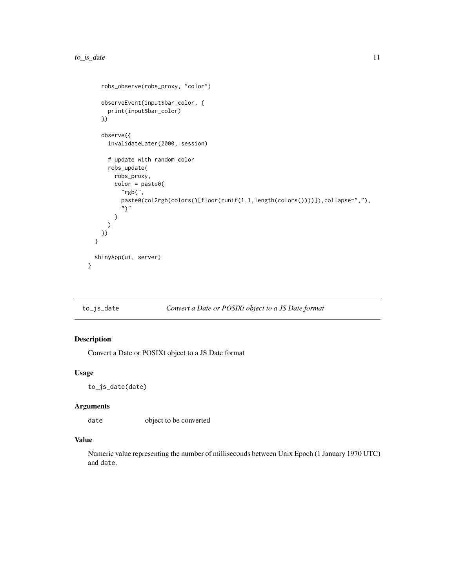```
robs_observe(robs_proxy, "color")
   observeEvent(input$bar_color, {
     print(input$bar_color)
    })
    observe({
     invalidateLater(2000, session)
     # update with random color
     robs_update(
        robs_proxy,
        color = paste0("rgb(",
          paste0(col2rgb(colors()[floor(runif(1,1,length(colors())))]),collapse=","),
          ")"
       )
     )
   })
 }
 shinyApp(ui, server)
}
```
#### to\_js\_date *Convert a Date or POSIXt object to a JS Date format*

#### Description

Convert a Date or POSIXt object to a JS Date format

#### Usage

to\_js\_date(date)

#### Arguments

date object to be converted

#### Value

Numeric value representing the number of milliseconds between Unix Epoch (1 January 1970 UTC) and date.